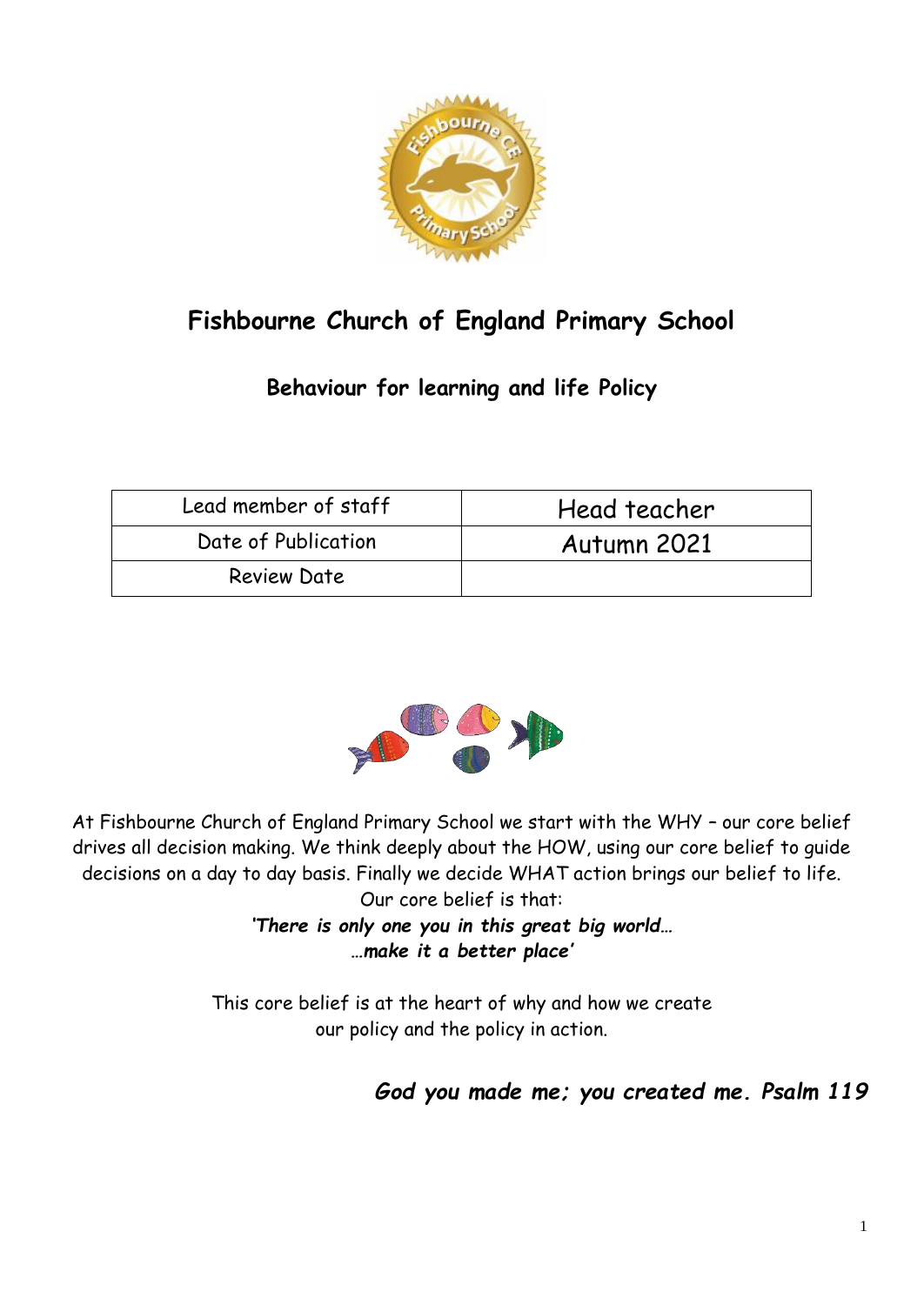

# **Fishbourne Church of England Primary School**

# **Behaviour for learning and life Policy**

| Lead member of staff | Head teacher |
|----------------------|--------------|
| Date of Publication  | Autumn 2021  |
| <b>Review Date</b>   |              |



At Fishbourne Church of England Primary School we start with the WHY – our core belief drives all decision making. We think deeply about the HOW, using our core belief to guide decisions on a day to day basis. Finally we decide WHAT action brings our belief to life. Our core belief is that:

*'There is only one you in this great big world… …make it a better place'*

This core belief is at the heart of why and how we create our policy and the policy in action.

*God you made me; you created me. Psalm 119*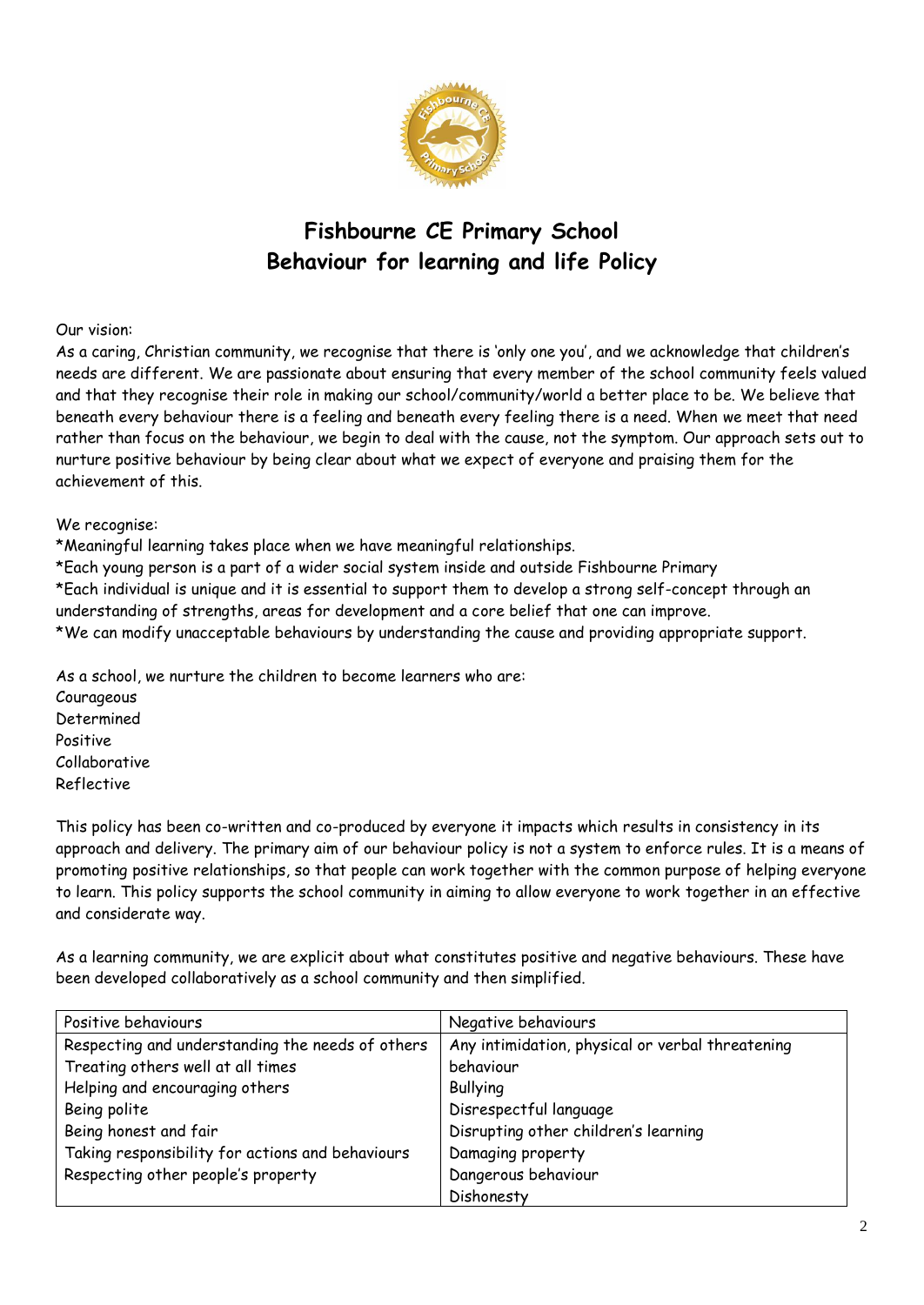

# **Fishbourne CE Primary School Behaviour for learning and life Policy**

#### Our vision:

As a caring, Christian community, we recognise that there is 'only one you', and we acknowledge that children's needs are different. We are passionate about ensuring that every member of the school community feels valued and that they recognise their role in making our school/community/world a better place to be. We believe that beneath every behaviour there is a feeling and beneath every feeling there is a need. When we meet that need rather than focus on the behaviour, we begin to deal with the cause, not the symptom. Our approach sets out to nurture positive behaviour by being clear about what we expect of everyone and praising them for the achievement of this.

#### We recognise:

\*Meaningful learning takes place when we have meaningful relationships.

\*Each young person is a part of a wider social system inside and outside Fishbourne Primary

\*Each individual is unique and it is essential to support them to develop a strong self-concept through an understanding of strengths, areas for development and a core belief that one can improve.

\*We can modify unacceptable behaviours by understanding the cause and providing appropriate support.

As a school, we nurture the children to become learners who are:

Courageous Determined Positive Collaborative Reflective

This policy has been co-written and co-produced by everyone it impacts which results in consistency in its approach and delivery. The primary aim of our behaviour policy is not a system to enforce rules. It is a means of promoting positive relationships, so that people can work together with the common purpose of helping everyone to learn. This policy supports the school community in aiming to allow everyone to work together in an effective and considerate way.

As a learning community, we are explicit about what constitutes positive and negative behaviours. These have been developed collaboratively as a school community and then simplified.

| Positive behaviours                              | Negative behaviours                              |
|--------------------------------------------------|--------------------------------------------------|
| Respecting and understanding the needs of others | Any intimidation, physical or verbal threatening |
| Treating others well at all times                | behaviour                                        |
| Helping and encouraging others                   | <b>Bullying</b>                                  |
| Being polite                                     | Disrespectful language                           |
| Being honest and fair                            | Disrupting other children's learning             |
| Taking responsibility for actions and behaviours | Damaging property                                |
| Respecting other people's property               | Dangerous behaviour                              |
|                                                  | Dishonesty                                       |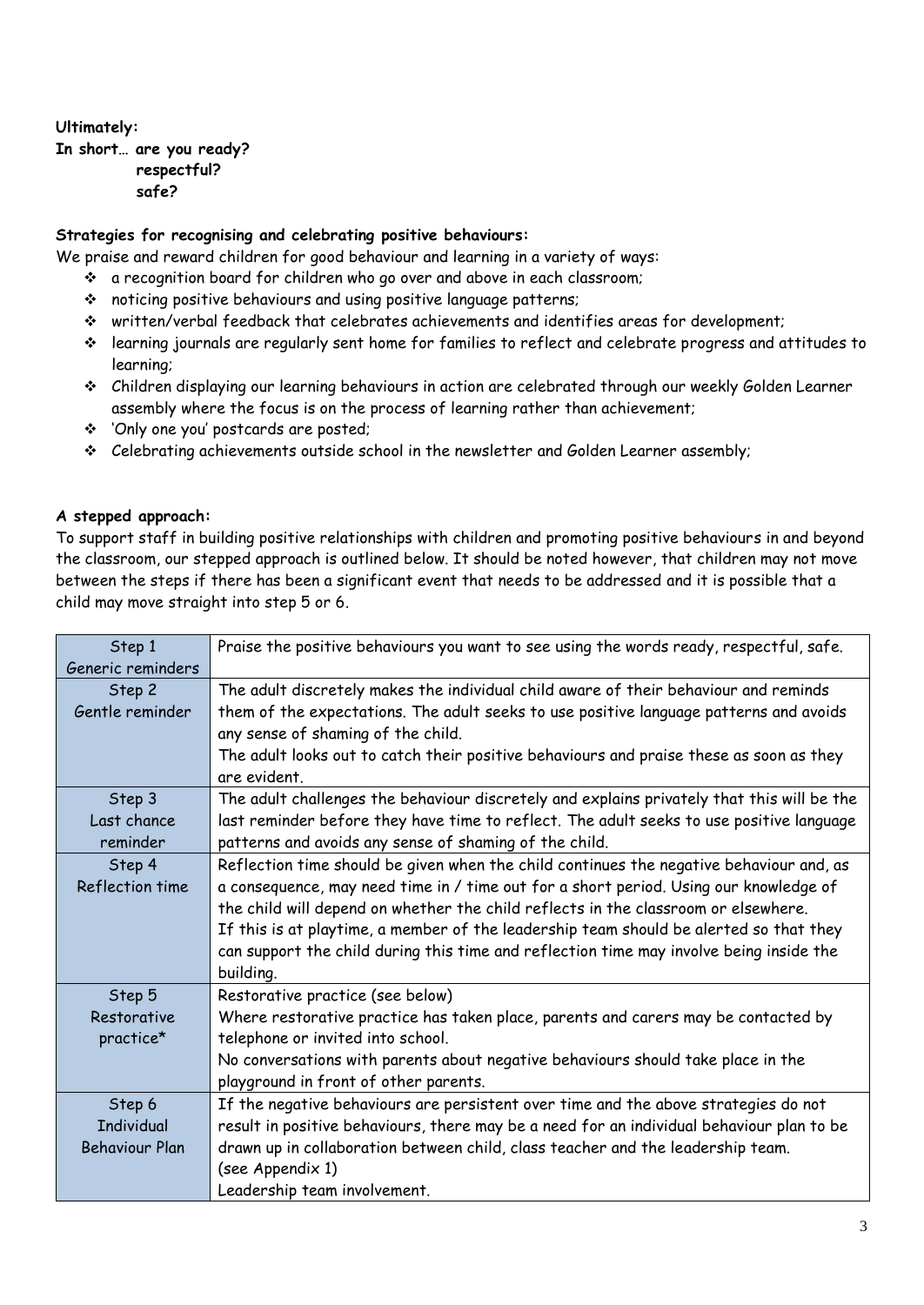# **Ultimately:**

**In short… are you ready? respectful? safe?**

#### **Strategies for recognising and celebrating positive behaviours:**

We praise and reward children for good behaviour and learning in a variety of ways:

- a recognition board for children who go over and above in each classroom;
- noticing positive behaviours and using positive language patterns;
- written/verbal feedback that celebrates achievements and identifies areas for development;
- learning journals are regularly sent home for families to reflect and celebrate progress and attitudes to learning;
- Children displaying our learning behaviours in action are celebrated through our weekly Golden Learner assembly where the focus is on the process of learning rather than achievement;
- 'Only one you' postcards are posted;
- Celebrating achievements outside school in the newsletter and Golden Learner assembly;

# **A stepped approach:**

To support staff in building positive relationships with children and promoting positive behaviours in and beyond the classroom, our stepped approach is outlined below. It should be noted however, that children may not move between the steps if there has been a significant event that needs to be addressed and it is possible that a child may move straight into step 5 or 6.

| Step 1                | Praise the positive behaviours you want to see using the words ready, respectful, safe.    |
|-----------------------|--------------------------------------------------------------------------------------------|
| Generic reminders     |                                                                                            |
| Step 2                | The adult discretely makes the individual child aware of their behaviour and reminds       |
| Gentle reminder       | them of the expectations. The adult seeks to use positive language patterns and avoids     |
|                       | any sense of shaming of the child.                                                         |
|                       | The adult looks out to catch their positive behaviours and praise these as soon as they    |
|                       | are evident.                                                                               |
| Step 3                | The adult challenges the behaviour discretely and explains privately that this will be the |
| Last chance           | last reminder before they have time to reflect. The adult seeks to use positive language   |
| reminder              | patterns and avoids any sense of shaming of the child.                                     |
| Step 4                | Reflection time should be given when the child continues the negative behaviour and, as    |
| Reflection time       | a consequence, may need time in / time out for a short period. Using our knowledge of      |
|                       | the child will depend on whether the child reflects in the classroom or elsewhere.         |
|                       | If this is at playtime, a member of the leadership team should be alerted so that they     |
|                       | can support the child during this time and reflection time may involve being inside the    |
|                       | building.                                                                                  |
| Step 5                | Restorative practice (see below)                                                           |
| Restorative           | Where restorative practice has taken place, parents and carers may be contacted by         |
| practice*             | telephone or invited into school.                                                          |
|                       | No conversations with parents about negative behaviours should take place in the           |
|                       | playground in front of other parents.                                                      |
| Step 6                | If the negative behaviours are persistent over time and the above strategies do not        |
| <b>Individual</b>     | result in positive behaviours, there may be a need for an individual behaviour plan to be  |
| <b>Behaviour Plan</b> | drawn up in collaboration between child, class teacher and the leadership team.            |
|                       | (see Appendix 1)                                                                           |
|                       | Leadership team involvement.                                                               |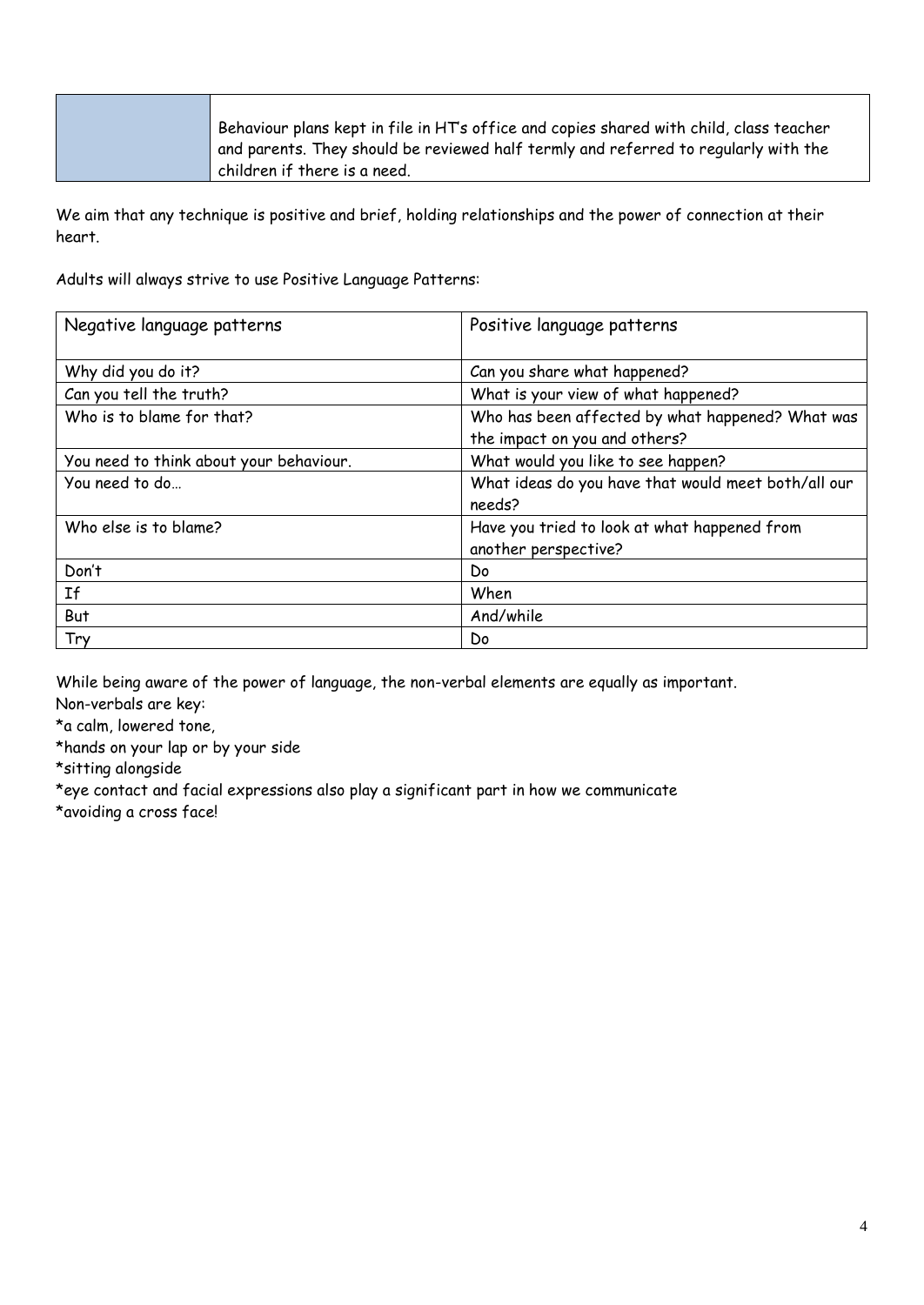| Behaviour plans kept in file in HT's office and copies shared with child, class teacher |
|-----------------------------------------------------------------------------------------|
| and parents. They should be reviewed half termly and referred to regularly with the     |
| children if there is a need.                                                            |

We aim that any technique is positive and brief, holding relationships and the power of connection at their heart.

Adults will always strive to use Positive Language Patterns:

| Negative language patterns              | Positive language patterns                                           |
|-----------------------------------------|----------------------------------------------------------------------|
| Why did you do it?                      | Can you share what happened?                                         |
| Can you tell the truth?                 | What is your view of what happened?                                  |
| Who is to blame for that?               | Who has been affected by what happened? What was                     |
|                                         | the impact on you and others?                                        |
| You need to think about your behaviour. | What would you like to see happen?                                   |
| You need to do                          | What ideas do you have that would meet both/all our<br>needs?        |
| Who else is to blame?                   | Have you tried to look at what happened from<br>another perspective? |
| Don't                                   | Do                                                                   |
| If                                      | When                                                                 |
| But                                     | And/while                                                            |
| Try                                     | Do                                                                   |

While being aware of the power of language, the non-verbal elements are equally as important. Non-verbals are key:

\*a calm, lowered tone,

\*hands on your lap or by your side

\*sitting alongside

\*eye contact and facial expressions also play a significant part in how we communicate \*avoiding a cross face!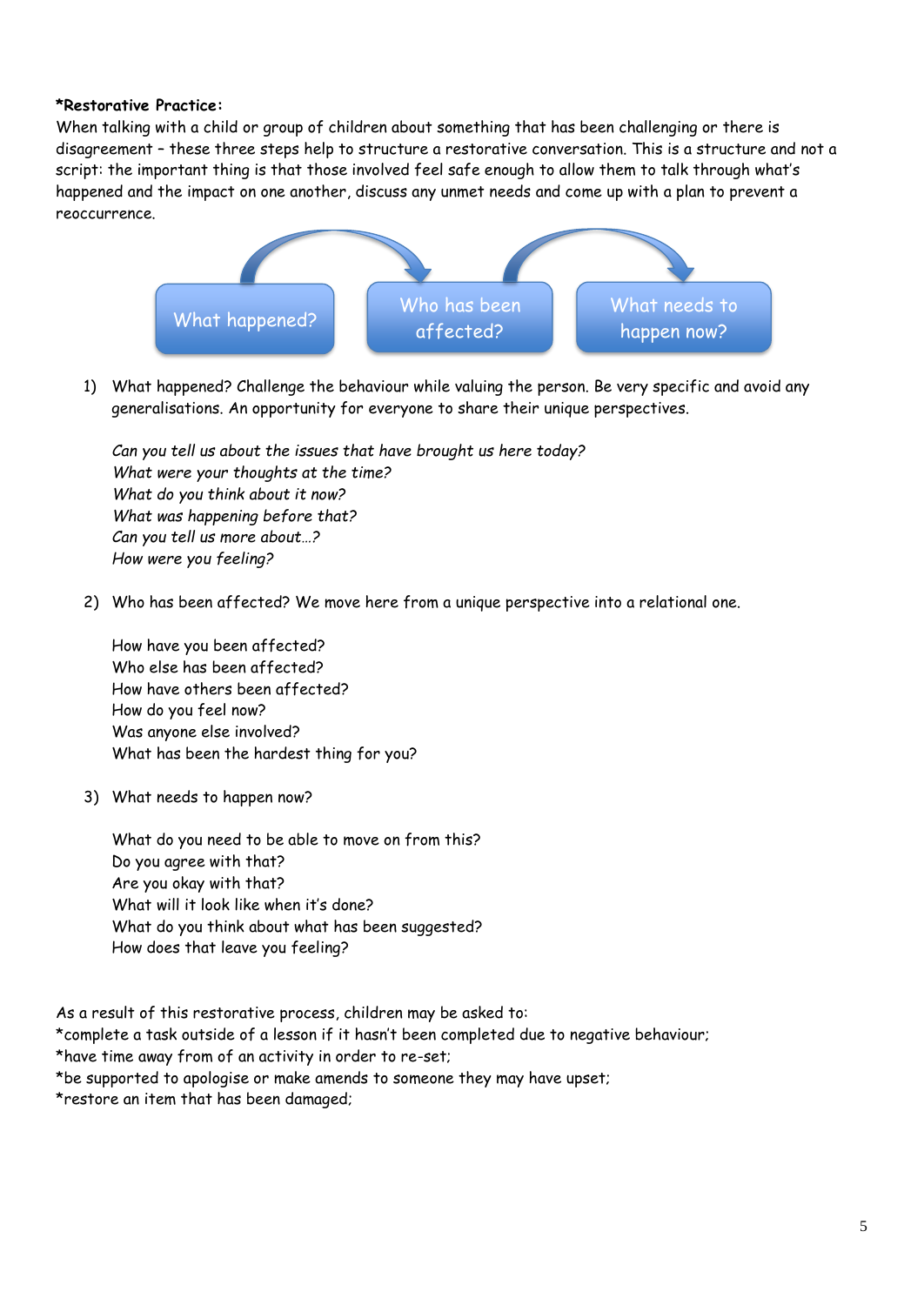#### **\*Restorative Practice:**

When talking with a child or group of children about something that has been challenging or there is disagreement – these three steps help to structure a restorative conversation. This is a structure and not a script: the important thing is that those involved feel safe enough to allow them to talk through what's happened and the impact on one another, discuss any unmet needs and come up with a plan to prevent a reoccurrence.



1) What happened? Challenge the behaviour while valuing the person. Be very specific and avoid any generalisations. An opportunity for everyone to share their unique perspectives.

*Can you tell us about the issues that have brought us here today? What were your thoughts at the time? What do you think about it now? What was happening before that? Can you tell us more about…? How were you feeling?*

2) Who has been affected? We move here from a unique perspective into a relational one.

How have you been affected? Who else has been affected? How have others been affected? How do you feel now? Was anyone else involved? What has been the hardest thing for you?

3) What needs to happen now?

What do you need to be able to move on from this? Do you agree with that? Are you okay with that? What will it look like when it's done? What do you think about what has been suggested? How does that leave you feeling?

As a result of this restorative process, children may be asked to:

\*complete a task outside of a lesson if it hasn't been completed due to negative behaviour;

\*have time away from of an activity in order to re-set;

\*be supported to apologise or make amends to someone they may have upset;

\*restore an item that has been damaged;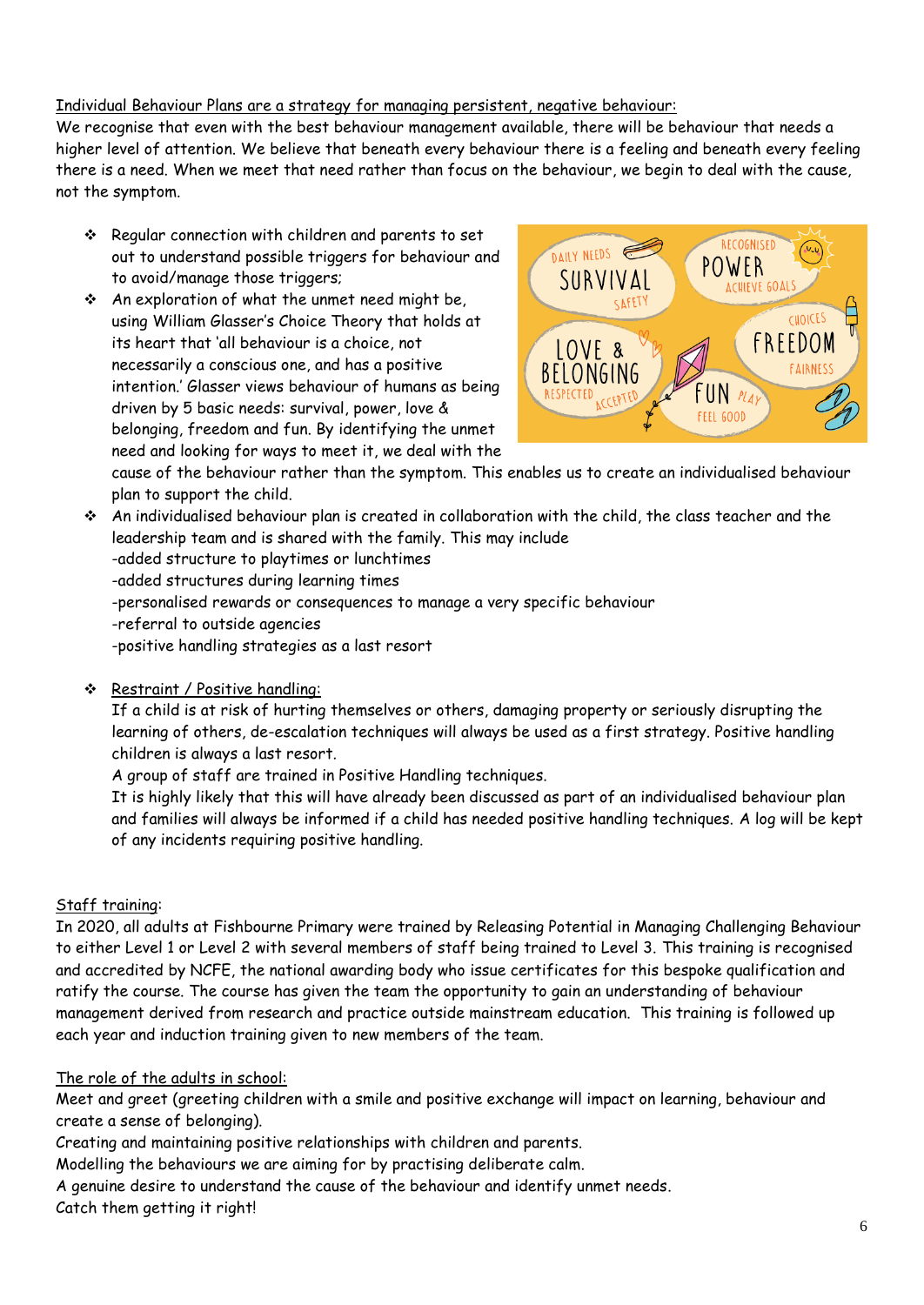# Individual Behaviour Plans are a strategy for managing persistent, negative behaviour:

We recognise that even with the best behaviour management available, there will be behaviour that needs a higher level of attention. We believe that beneath every behaviour there is a feeling and beneath every feeling there is a need. When we meet that need rather than focus on the behaviour, we begin to deal with the cause, not the symptom.

- \* Regular connection with children and parents to set out to understand possible triggers for behaviour and to avoid/manage those triggers;
- $\cdot$  An exploration of what the unmet need might be, using William Glasser's Choice Theory that holds at its heart that 'all behaviour is a choice, not necessarily a conscious one, and has a positive intention.' Glasser views behaviour of humans as being driven by 5 basic needs: survival, power, love & belonging, freedom and fun. By identifying the unmet need and looking for ways to meet it, we deal with the



cause of the behaviour rather than the symptom. This enables us to create an individualised behaviour plan to support the child.

 An individualised behaviour plan is created in collaboration with the child, the class teacher and the leadership team and is shared with the family. This may include -added structure to playtimes or lunchtimes -added structures during learning times -personalised rewards or consequences to manage a very specific behaviour -referral to outside agencies -positive handling strategies as a last resort

Restraint / Positive handling:

If a child is at risk of hurting themselves or others, damaging property or seriously disrupting the learning of others, de-escalation techniques will always be used as a first strategy. Positive handling children is always a last resort.

A group of staff are trained in Positive Handling techniques.

It is highly likely that this will have already been discussed as part of an individualised behaviour plan and families will always be informed if a child has needed positive handling techniques. A log will be kept of any incidents requiring positive handling.

# Staff training:

In 2020, all adults at Fishbourne Primary were trained by Releasing Potential in Managing Challenging Behaviour to either Level 1 or Level 2 with several members of staff being trained to Level 3. This training is recognised and accredited by NCFE, the national awarding body who issue certificates for this bespoke qualification and ratify the course. The course has given the team the opportunity to gain an understanding of behaviour management derived from research and practice outside mainstream education. This training is followed up each year and induction training given to new members of the team.

# The role of the adults in school:

Meet and greet (greeting children with a smile and positive exchange will impact on learning, behaviour and create a sense of belonging).

Creating and maintaining positive relationships with children and parents.

Modelling the behaviours we are aiming for by practising deliberate calm.

A genuine desire to understand the cause of the behaviour and identify unmet needs.

Catch them getting it right!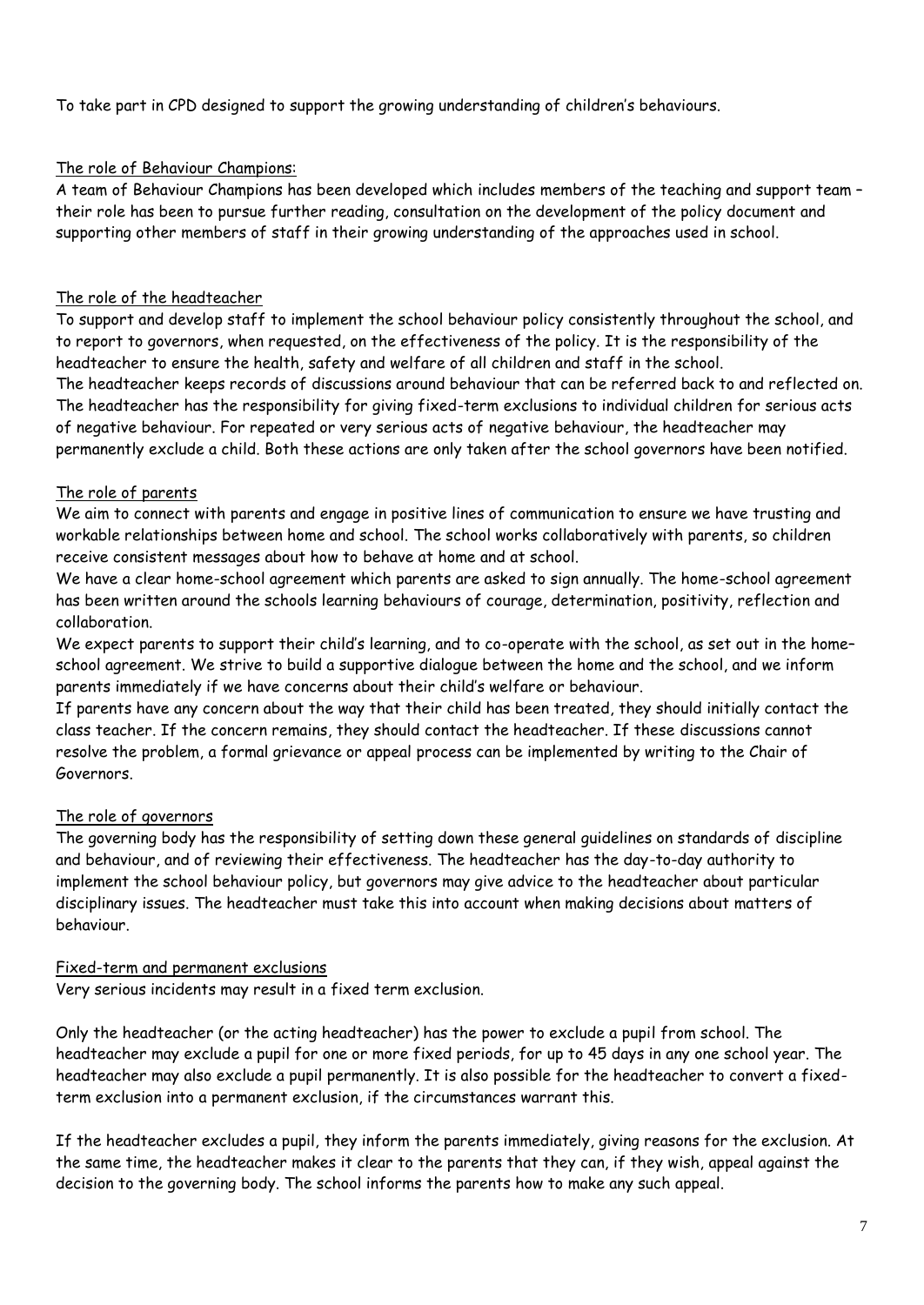To take part in CPD designed to support the growing understanding of children's behaviours.

#### The role of Behaviour Champions:

A team of Behaviour Champions has been developed which includes members of the teaching and support team – their role has been to pursue further reading, consultation on the development of the policy document and supporting other members of staff in their growing understanding of the approaches used in school.

#### The role of the headteacher

To support and develop staff to implement the school behaviour policy consistently throughout the school, and to report to governors, when requested, on the effectiveness of the policy. It is the responsibility of the headteacher to ensure the health, safety and welfare of all children and staff in the school.

The headteacher keeps records of discussions around behaviour that can be referred back to and reflected on. The headteacher has the responsibility for giving fixed-term exclusions to individual children for serious acts of negative behaviour. For repeated or very serious acts of negative behaviour, the headteacher may permanently exclude a child. Both these actions are only taken after the school governors have been notified.

#### The role of parents

We aim to connect with parents and engage in positive lines of communication to ensure we have trusting and workable relationships between home and school. The school works collaboratively with parents, so children receive consistent messages about how to behave at home and at school.

We have a clear home-school agreement which parents are asked to sign annually. The home-school agreement has been written around the schools learning behaviours of courage, determination, positivity, reflection and collaboration.

We expect parents to support their child's learning, and to co-operate with the school, as set out in the homeschool agreement. We strive to build a supportive dialogue between the home and the school, and we inform parents immediately if we have concerns about their child's welfare or behaviour.

If parents have any concern about the way that their child has been treated, they should initially contact the class teacher. If the concern remains, they should contact the headteacher. If these discussions cannot resolve the problem, a formal grievance or appeal process can be implemented by writing to the Chair of Governors.

#### The role of governors

The governing body has the responsibility of setting down these general guidelines on standards of discipline and behaviour, and of reviewing their effectiveness. The headteacher has the day-to-day authority to implement the school behaviour policy, but governors may give advice to the headteacher about particular disciplinary issues. The headteacher must take this into account when making decisions about matters of behaviour.

#### Fixed-term and permanent exclusions

Very serious incidents may result in a fixed term exclusion.

Only the headteacher (or the acting headteacher) has the power to exclude a pupil from school. The headteacher may exclude a pupil for one or more fixed periods, for up to 45 days in any one school year. The headteacher may also exclude a pupil permanently. It is also possible for the headteacher to convert a fixedterm exclusion into a permanent exclusion, if the circumstances warrant this.

If the headteacher excludes a pupil, they inform the parents immediately, giving reasons for the exclusion. At the same time, the headteacher makes it clear to the parents that they can, if they wish, appeal against the decision to the governing body. The school informs the parents how to make any such appeal.